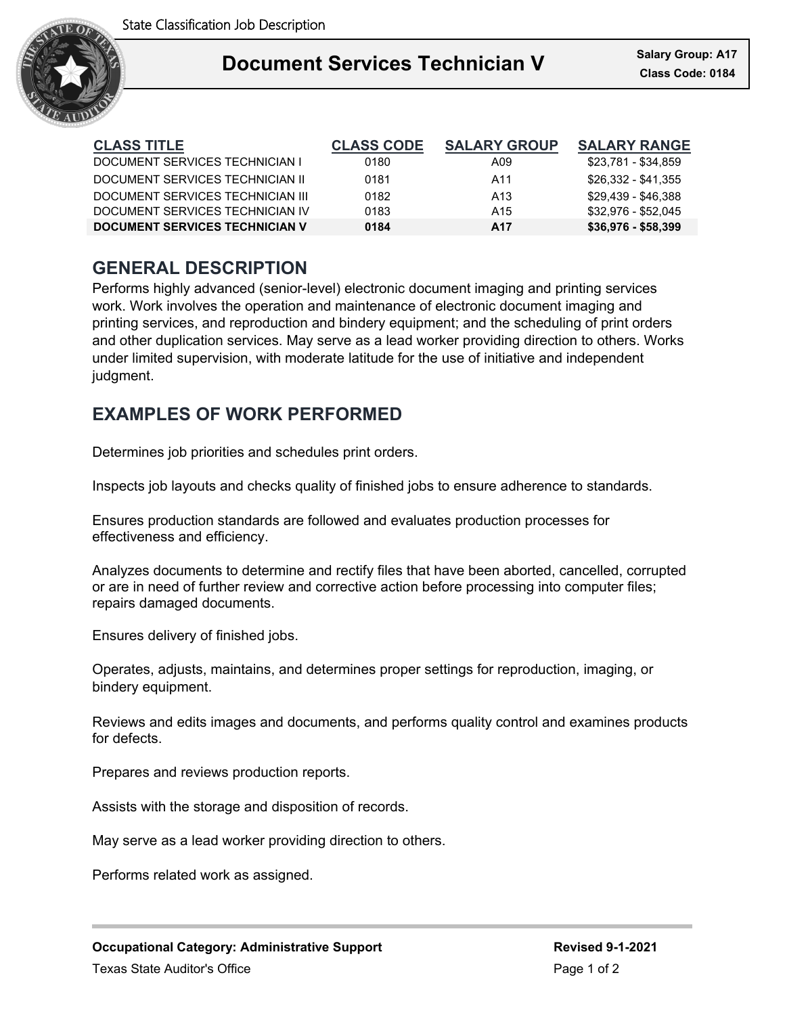

### Ξ **Document Services Technician V**

| <b>CLASS TITLE</b>                    | <b>CLASS CODE</b> | <b>SALARY GROUP</b> | <b>SALARY RANGE</b> |
|---------------------------------------|-------------------|---------------------|---------------------|
| DOCUMENT SERVICES TECHNICIAN I        | 0180              | A09                 | \$23,781 - \$34,859 |
| DOCUMENT SERVICES TECHNICIAN II       | 0181              | A11                 | \$26.332 - \$41.355 |
| DOCUMENT SERVICES TECHNICIAN III      | 0182              | A <sub>13</sub>     | \$29,439 - \$46,388 |
| DOCUMENT SERVICES TECHNICIAN IV       | 0183              | A <sub>15</sub>     | \$32.976 - \$52.045 |
| <b>DOCUMENT SERVICES TECHNICIAN V</b> | 0184              | A17                 | $$36,976 - $58,399$ |

## **GENERAL DESCRIPTION**

Performs highly advanced (senior-level) electronic document imaging and printing services work. Work involves the operation and maintenance of electronic document imaging and printing services, and reproduction and bindery equipment; and the scheduling of print orders and other duplication services. May serve as a lead worker providing direction to others. Works under limited supervision, with moderate latitude for the use of initiative and independent judgment.

## **EXAMPLES OF WORK PERFORMED**

Determines job priorities and schedules print orders.

Inspects job layouts and checks quality of finished jobs to ensure adherence to standards.

Ensures production standards are followed and evaluates production processes for effectiveness and efficiency.

Analyzes documents to determine and rectify files that have been aborted, cancelled, corrupted or are in need of further review and corrective action before processing into computer files; repairs damaged documents.

Ensures delivery of finished jobs.

Operates, adjusts, maintains, and determines proper settings for reproduction, imaging, or bindery equipment.

Reviews and edits images and documents, and performs quality control and examines products for defects.

Prepares and reviews production reports.

Assists with the storage and disposition of records.

May serve as a lead worker providing direction to others.

Performs related work as assigned.